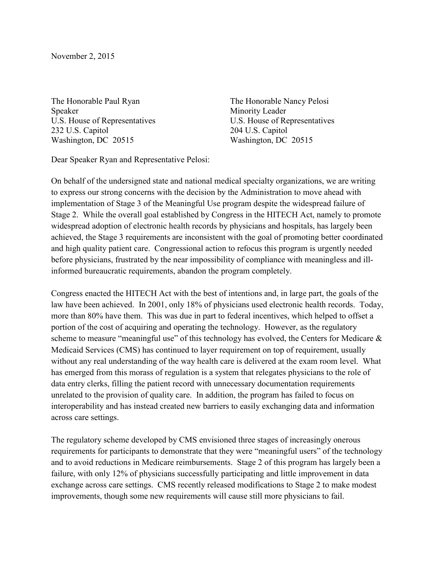November 2, 2015

The Honorable Paul Ryan Speaker U.S. House of Representatives 232 U.S. Capitol Washington, DC 20515

The Honorable Nancy Pelosi Minority Leader U.S. House of Representatives 204 U.S. Capitol Washington, DC 20515

Dear Speaker Ryan and Representative Pelosi:

On behalf of the undersigned state and national medical specialty organizations, we are writing to express our strong concerns with the decision by the Administration to move ahead with implementation of Stage 3 of the Meaningful Use program despite the widespread failure of Stage 2. While the overall goal established by Congress in the HITECH Act, namely to promote widespread adoption of electronic health records by physicians and hospitals, has largely been achieved, the Stage 3 requirements are inconsistent with the goal of promoting better coordinated and high quality patient care. Congressional action to refocus this program is urgently needed before physicians, frustrated by the near impossibility of compliance with meaningless and illinformed bureaucratic requirements, abandon the program completely.

Congress enacted the HITECH Act with the best of intentions and, in large part, the goals of the law have been achieved. In 2001, only 18% of physicians used electronic health records. Today, more than 80% have them. This was due in part to federal incentives, which helped to offset a portion of the cost of acquiring and operating the technology. However, as the regulatory scheme to measure "meaningful use" of this technology has evolved, the Centers for Medicare & Medicaid Services (CMS) has continued to layer requirement on top of requirement, usually without any real understanding of the way health care is delivered at the exam room level. What has emerged from this morass of regulation is a system that relegates physicians to the role of data entry clerks, filling the patient record with unnecessary documentation requirements unrelated to the provision of quality care. In addition, the program has failed to focus on interoperability and has instead created new barriers to easily exchanging data and information across care settings.

The regulatory scheme developed by CMS envisioned three stages of increasingly onerous requirements for participants to demonstrate that they were "meaningful users" of the technology and to avoid reductions in Medicare reimbursements. Stage 2 of this program has largely been a failure, with only 12% of physicians successfully participating and little improvement in data exchange across care settings. CMS recently released modifications to Stage 2 to make modest improvements, though some new requirements will cause still more physicians to fail.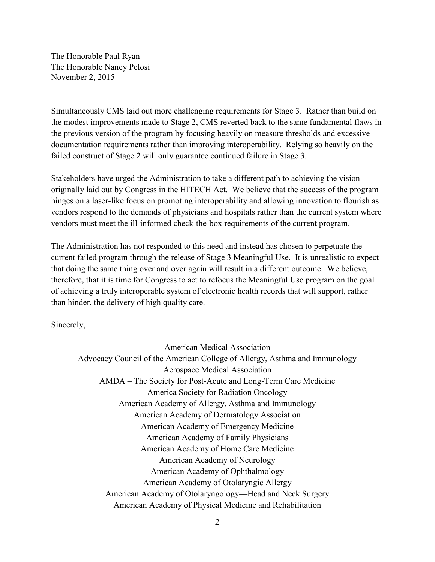The Honorable Paul Ryan The Honorable Nancy Pelosi November 2, 2015

Simultaneously CMS laid out more challenging requirements for Stage 3. Rather than build on the modest improvements made to Stage 2, CMS reverted back to the same fundamental flaws in the previous version of the program by focusing heavily on measure thresholds and excessive documentation requirements rather than improving interoperability. Relying so heavily on the failed construct of Stage 2 will only guarantee continued failure in Stage 3.

Stakeholders have urged the Administration to take a different path to achieving the vision originally laid out by Congress in the HITECH Act. We believe that the success of the program hinges on a laser-like focus on promoting interoperability and allowing innovation to flourish as vendors respond to the demands of physicians and hospitals rather than the current system where vendors must meet the ill-informed check-the-box requirements of the current program.

The Administration has not responded to this need and instead has chosen to perpetuate the current failed program through the release of Stage 3 Meaningful Use. It is unrealistic to expect that doing the same thing over and over again will result in a different outcome. We believe, therefore, that it is time for Congress to act to refocus the Meaningful Use program on the goal of achieving a truly interoperable system of electronic health records that will support, rather than hinder, the delivery of high quality care.

Sincerely,

American Medical Association Advocacy Council of the American College of Allergy, Asthma and Immunology Aerospace Medical Association AMDA – The Society for Post-Acute and Long-Term Care Medicine America Society for Radiation Oncology American Academy of Allergy, Asthma and Immunology American Academy of Dermatology Association American Academy of Emergency Medicine American Academy of Family Physicians American Academy of Home Care Medicine American Academy of Neurology American Academy of Ophthalmology American Academy of Otolaryngic Allergy American Academy of Otolaryngology—Head and Neck Surgery American Academy of Physical Medicine and Rehabilitation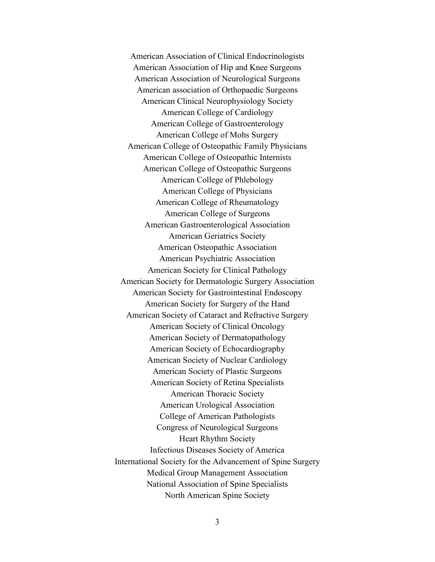American Association of Clinical Endocrinologists American Association of Hip and Knee Surgeons American Association of Neurological Surgeons American association of Orthopaedic Surgeons American Clinical Neurophysiology Society American College of Cardiology American College of Gastroenterology American College of Mohs Surgery American College of Osteopathic Family Physicians American College of Osteopathic Internists American College of Osteopathic Surgeons American College of Phlebology American College of Physicians American College of Rheumatology American College of Surgeons American Gastroenterological Association American Geriatrics Society American Osteopathic Association American Psychiatric Association American Society for Clinical Pathology American Society for Dermatologic Surgery Association American Society for Gastrointestinal Endoscopy American Society for Surgery of the Hand American Society of Cataract and Refractive Surgery American Society of Clinical Oncology American Society of Dermatopathology American Society of Echocardiography American Society of Nuclear Cardiology American Society of Plastic Surgeons American Society of Retina Specialists American Thoracic Society American Urological Association College of American Pathologists Congress of Neurological Surgeons Heart Rhythm Society Infectious Diseases Society of America International Society for the Advancement of Spine Surgery Medical Group Management Association National Association of Spine Specialists North American Spine Society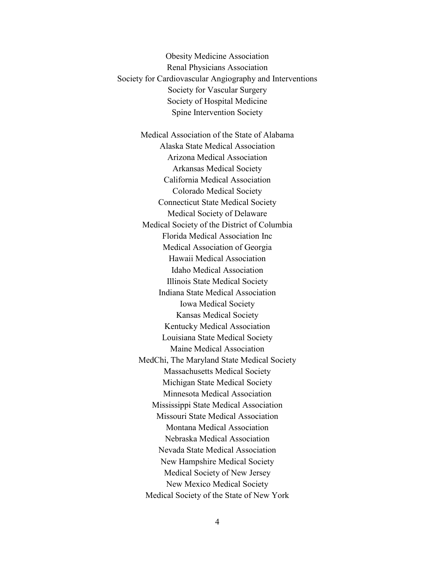Obesity Medicine Association Renal Physicians Association Society for Cardiovascular Angiography and Interventions Society for Vascular Surgery Society of Hospital Medicine Spine Intervention Society

Medical Association of the State of Alabama Alaska State Medical Association Arizona Medical Association Arkansas Medical Society California Medical Association Colorado Medical Society Connecticut State Medical Society Medical Society of Delaware Medical Society of the District of Columbia Florida Medical Association Inc Medical Association of Georgia Hawaii Medical Association Idaho Medical Association Illinois State Medical Society Indiana State Medical Association Iowa Medical Society Kansas Medical Society Kentucky Medical Association Louisiana State Medical Society Maine Medical Association MedChi, The Maryland State Medical Society Massachusetts Medical Society Michigan State Medical Society Minnesota Medical Association Mississippi State Medical Association Missouri State Medical Association Montana Medical Association Nebraska Medical Association Nevada State Medical Association New Hampshire Medical Society Medical Society of New Jersey New Mexico Medical Society Medical Society of the State of New York